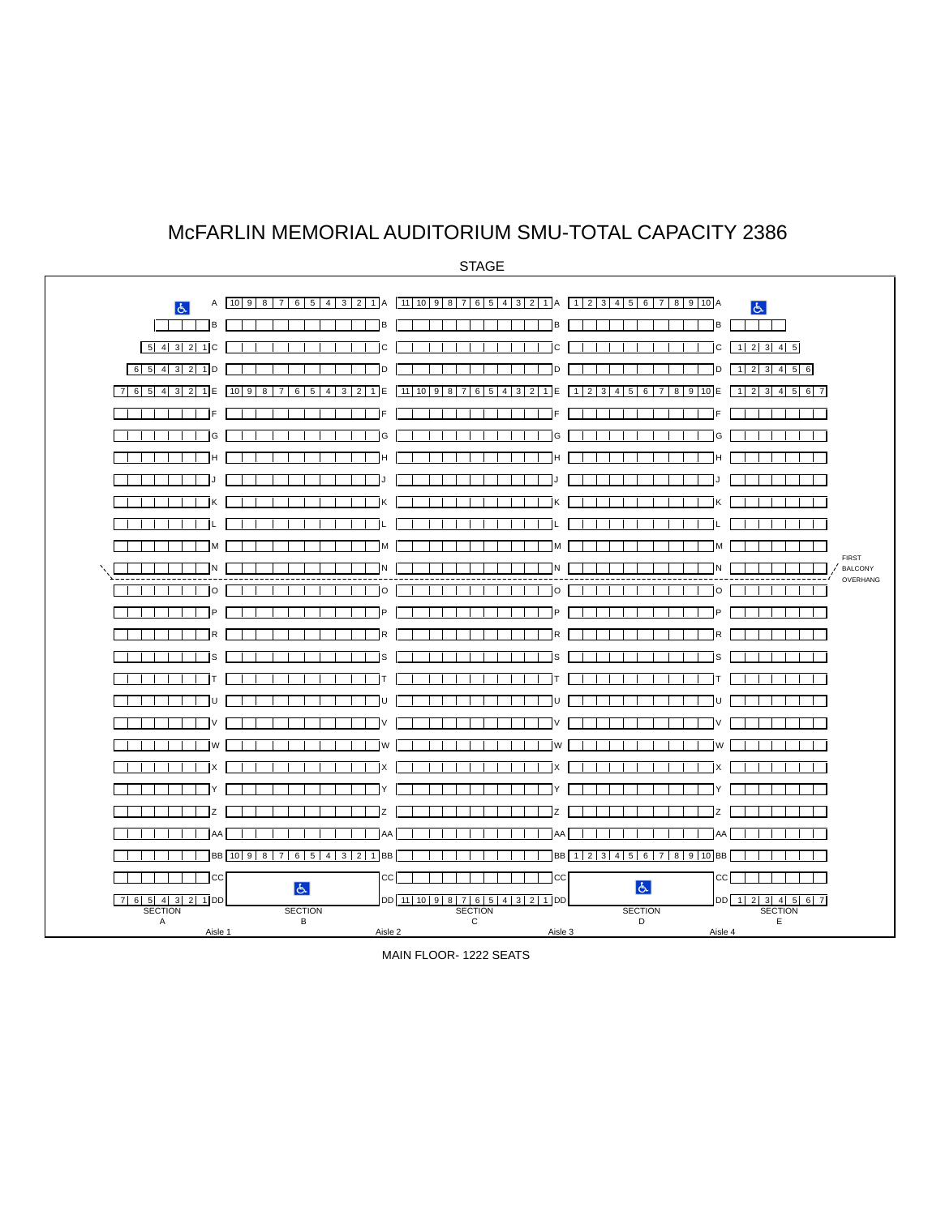## McFARLIN MEMORIAL AUDITORIUM SMU-TOTAL CAPACITY 2386

A 10 9 8 7 6 5 4 3 2 1 A 11 10 9 8 7 6 5 4 3 2 1 A 1 2 3 4 5 6 7 8 9 10 A  $\overline{d}$  $\overline{6}$ B B BB 5 4 3 2 1C C C C 1 2 3 4 5 6 5 4 3 2 1D D D D 1 2 3 4 5 6 7 6 5 4 3 2 1 E 10 9 8 7 6 5 4 3 2 1 E 11 10 9 8 7 6 5 4 3 2 1 E 1 2 3 4 5 6 7 8 9 10 E 1 2 3 4 5 6 7 F F FF and a strong and a G G GG  $\top$ H H HH <u> Timba ka ma</u> J J JJ  $\top$ K K KK L L LL <u>randa massa</u>  $\overline{\phantom{a}}$ M M MM FIRST<br>BALCONY N N NN BALCONY OVERHANG O O OO  $\top$ P P PP <u>a shekara ta 1999 na shekara ta 1999 na shekara ta 1999 na shekara ta 1999 na shekara ta 1999 na shekara ta 19</u>  $\overline{\phantom{0}}$ R R RR S S SS  $\blacksquare$ T T TT <u>U TERRITO DE LA PROVINCIA DE LA PROVINCIA DE LA PROVINCIA DE LA PROVINCIA DE LA PROVINCIA DE LA PROVINCIA DE L</u> and a strong strong V V VV W W WW X X XX Y Y YY Z Z ZZ AA AA AA AA  $\top$ THINB 10 9 8 7 6 5 4 3 2 1 BB THILLITE BB 12 3 4 5 6 7 8 9 10 BB  $\mathbf{I}$  $\mathbf{1}$ CC CC CC CC  $\top$ 7 6 5 4 3 2 1 DD **SECTION** SECTION SECTION **SECTION SECTION** A B C DE Aisle 1 Aisle 2 Aisle 3 Aisle 4

MAIN FLOOR- 1222 SEATS

STAGE